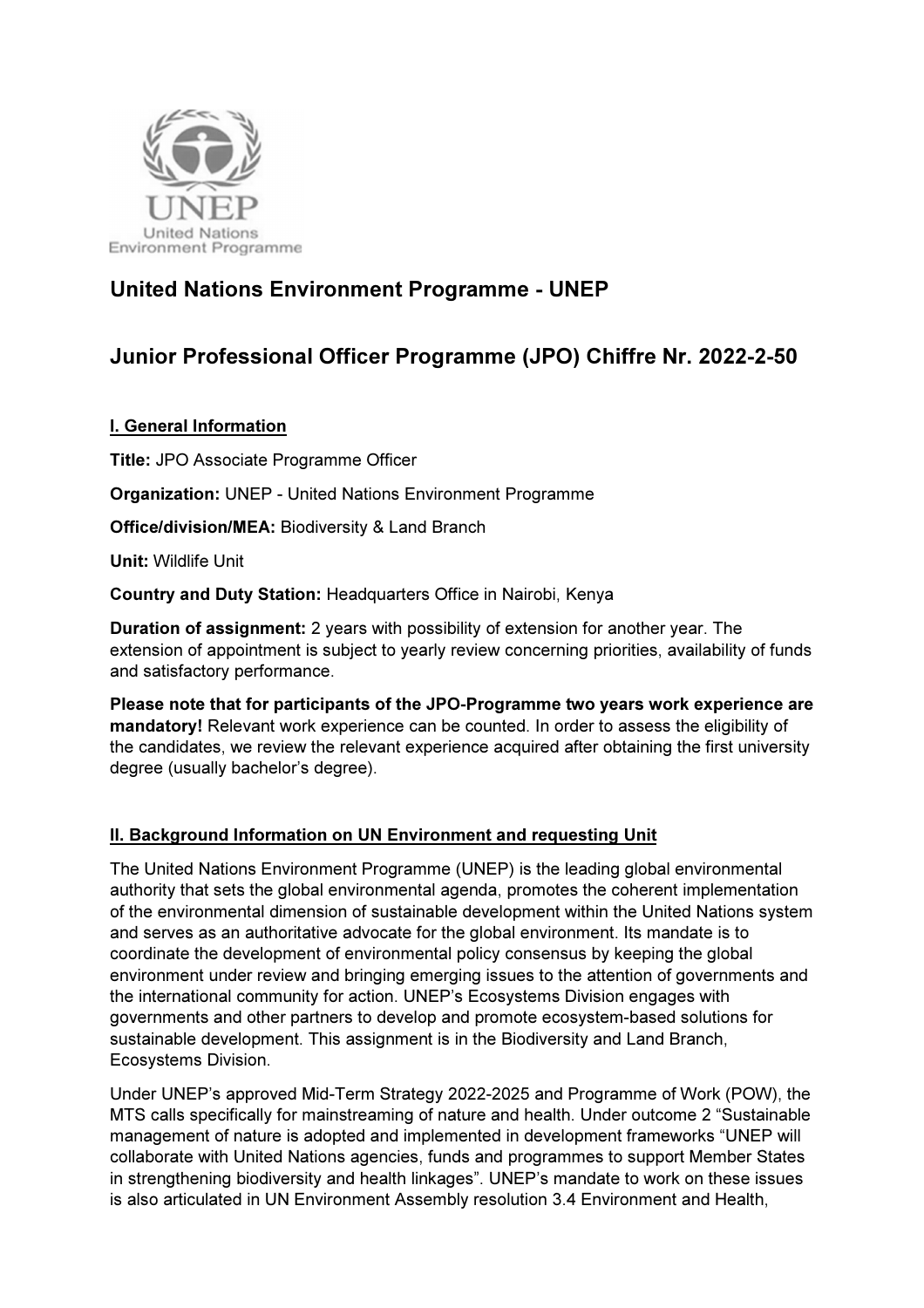

# United Nations Environment Programme - UNEP

# Junior Professional Officer Programme (JPO) Chiffre Nr. 2022-2-50

# I. General Information

Title: JPO Associate Programme Officer

Organization: UNEP - United Nations Environment Programme

Office/division/MEA: Biodiversity & Land Branch

Unit: Wildlife Unit

Country and Duty Station: Headquarters Office in Nairobi, Kenya

Duration of assignment: 2 years with possibility of extension for another year. The extension of appointment is subject to yearly review concerning priorities, availability of funds and satisfactory performance.

Please note that for participants of the JPO-Programme two years work experience are mandatory! Relevant work experience can be counted. In order to assess the eligibility of the candidates, we review the relevant experience acquired after obtaining the first university degree (usually bachelor's degree).

# II. Background Information on UN Environment and requesting Unit

The United Nations Environment Programme (UNEP) is the leading global environmental authority that sets the global environmental agenda, promotes the coherent implementation of the environmental dimension of sustainable development within the United Nations system and serves as an authoritative advocate for the global environment. Its mandate is to coordinate the development of environmental policy consensus by keeping the global environment under review and bringing emerging issues to the attention of governments and the international community for action. UNEP's Ecosystems Division engages with governments and other partners to develop and promote ecosystem-based solutions for sustainable development. This assignment is in the Biodiversity and Land Branch, Ecosystems Division.

Under UNEP's approved Mid-Term Strategy 2022-2025 and Programme of Work (POW), the MTS calls specifically for mainstreaming of nature and health. Under outcome 2 "Sustainable management of nature is adopted and implemented in development frameworks "UNEP will collaborate with United Nations agencies, funds and programmes to support Member States in strengthening biodiversity and health linkages". UNEP's mandate to work on these issues is also articulated in UN Environment Assembly resolution 3.4 Environment and Health,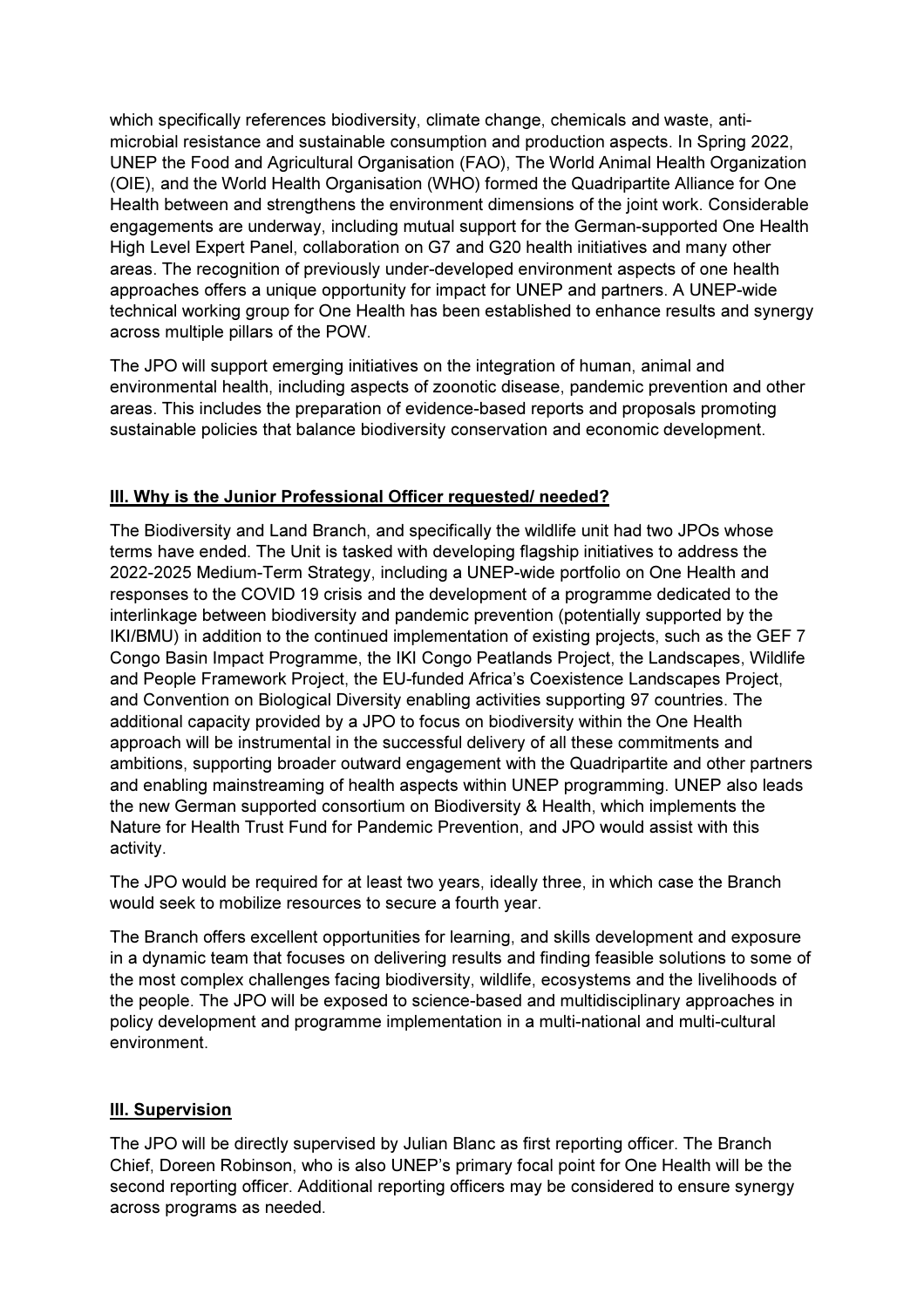which specifically references biodiversity, climate change, chemicals and waste, antimicrobial resistance and sustainable consumption and production aspects. In Spring 2022, UNEP the Food and Agricultural Organisation (FAO), The World Animal Health Organization (OIE), and the World Health Organisation (WHO) formed the Quadripartite Alliance for One Health between and strengthens the environment dimensions of the joint work. Considerable engagements are underway, including mutual support for the German-supported One Health High Level Expert Panel, collaboration on G7 and G20 health initiatives and many other areas. The recognition of previously under-developed environment aspects of one health approaches offers a unique opportunity for impact for UNEP and partners. A UNEP-wide technical working group for One Health has been established to enhance results and synergy across multiple pillars of the POW.

The JPO will support emerging initiatives on the integration of human, animal and environmental health, including aspects of zoonotic disease, pandemic prevention and other areas. This includes the preparation of evidence-based reports and proposals promoting sustainable policies that balance biodiversity conservation and economic development.

# III. Why is the Junior Professional Officer requested/ needed?

The Biodiversity and Land Branch, and specifically the wildlife unit had two JPOs whose terms have ended. The Unit is tasked with developing flagship initiatives to address the 2022-2025 Medium-Term Strategy, including a UNEP-wide portfolio on One Health and responses to the COVID 19 crisis and the development of a programme dedicated to the interlinkage between biodiversity and pandemic prevention (potentially supported by the IKI/BMU) in addition to the continued implementation of existing projects, such as the GEF 7 Congo Basin Impact Programme, the IKI Congo Peatlands Project, the Landscapes, Wildlife and People Framework Project, the EU-funded Africa's Coexistence Landscapes Project, and Convention on Biological Diversity enabling activities supporting 97 countries. The additional capacity provided by a JPO to focus on biodiversity within the One Health approach will be instrumental in the successful delivery of all these commitments and ambitions, supporting broader outward engagement with the Quadripartite and other partners and enabling mainstreaming of health aspects within UNEP programming. UNEP also leads the new German supported consortium on Biodiversity & Health, which implements the Nature for Health Trust Fund for Pandemic Prevention, and JPO would assist with this activity.

The JPO would be required for at least two years, ideally three, in which case the Branch would seek to mobilize resources to secure a fourth year.

The Branch offers excellent opportunities for learning, and skills development and exposure in a dynamic team that focuses on delivering results and finding feasible solutions to some of the most complex challenges facing biodiversity, wildlife, ecosystems and the livelihoods of the people. The JPO will be exposed to science-based and multidisciplinary approaches in policy development and programme implementation in a multi-national and multi-cultural environment.

# III. Supervision

The JPO will be directly supervised by Julian Blanc as first reporting officer. The Branch Chief, Doreen Robinson, who is also UNEP's primary focal point for One Health will be the second reporting officer. Additional reporting officers may be considered to ensure synergy across programs as needed.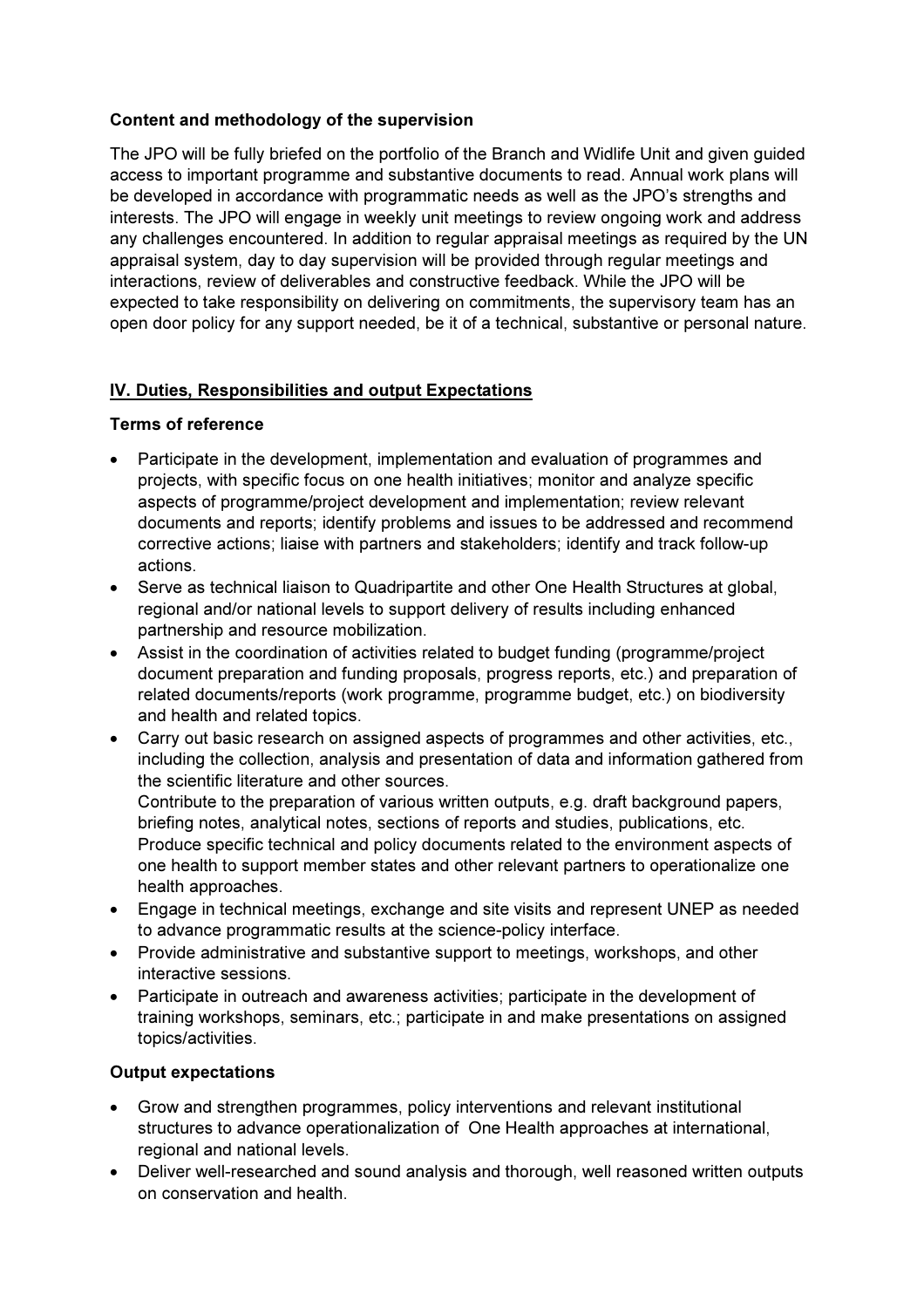# Content and methodology of the supervision

The JPO will be fully briefed on the portfolio of the Branch and Widlife Unit and given guided access to important programme and substantive documents to read. Annual work plans will be developed in accordance with programmatic needs as well as the JPO's strengths and interests. The JPO will engage in weekly unit meetings to review ongoing work and address any challenges encountered. In addition to regular appraisal meetings as required by the UN appraisal system, day to day supervision will be provided through regular meetings and interactions, review of deliverables and constructive feedback. While the JPO will be expected to take responsibility on delivering on commitments, the supervisory team has an open door policy for any support needed, be it of a technical, substantive or personal nature.

## IV. Duties, Responsibilities and output Expectations

#### Terms of reference

- Participate in the development, implementation and evaluation of programmes and projects, with specific focus on one health initiatives; monitor and analyze specific aspects of programme/project development and implementation; review relevant documents and reports; identify problems and issues to be addressed and recommend corrective actions; liaise with partners and stakeholders; identify and track follow-up actions.
- Serve as technical liaison to Quadripartite and other One Health Structures at global, regional and/or national levels to support delivery of results including enhanced partnership and resource mobilization.
- Assist in the coordination of activities related to budget funding (programme/project document preparation and funding proposals, progress reports, etc.) and preparation of related documents/reports (work programme, programme budget, etc.) on biodiversity and health and related topics.
- Carry out basic research on assigned aspects of programmes and other activities, etc., including the collection, analysis and presentation of data and information gathered from the scientific literature and other sources. Contribute to the preparation of various written outputs, e.g. draft background papers, briefing notes, analytical notes, sections of reports and studies, publications, etc.

Produce specific technical and policy documents related to the environment aspects of one health to support member states and other relevant partners to operationalize one health approaches.

- Engage in technical meetings, exchange and site visits and represent UNEP as needed to advance programmatic results at the science-policy interface.
- Provide administrative and substantive support to meetings, workshops, and other interactive sessions.
- Participate in outreach and awareness activities; participate in the development of training workshops, seminars, etc.; participate in and make presentations on assigned topics/activities.

#### Output expectations

- Grow and strengthen programmes, policy interventions and relevant institutional structures to advance operationalization of One Health approaches at international, regional and national levels.
- Deliver well-researched and sound analysis and thorough, well reasoned written outputs on conservation and health.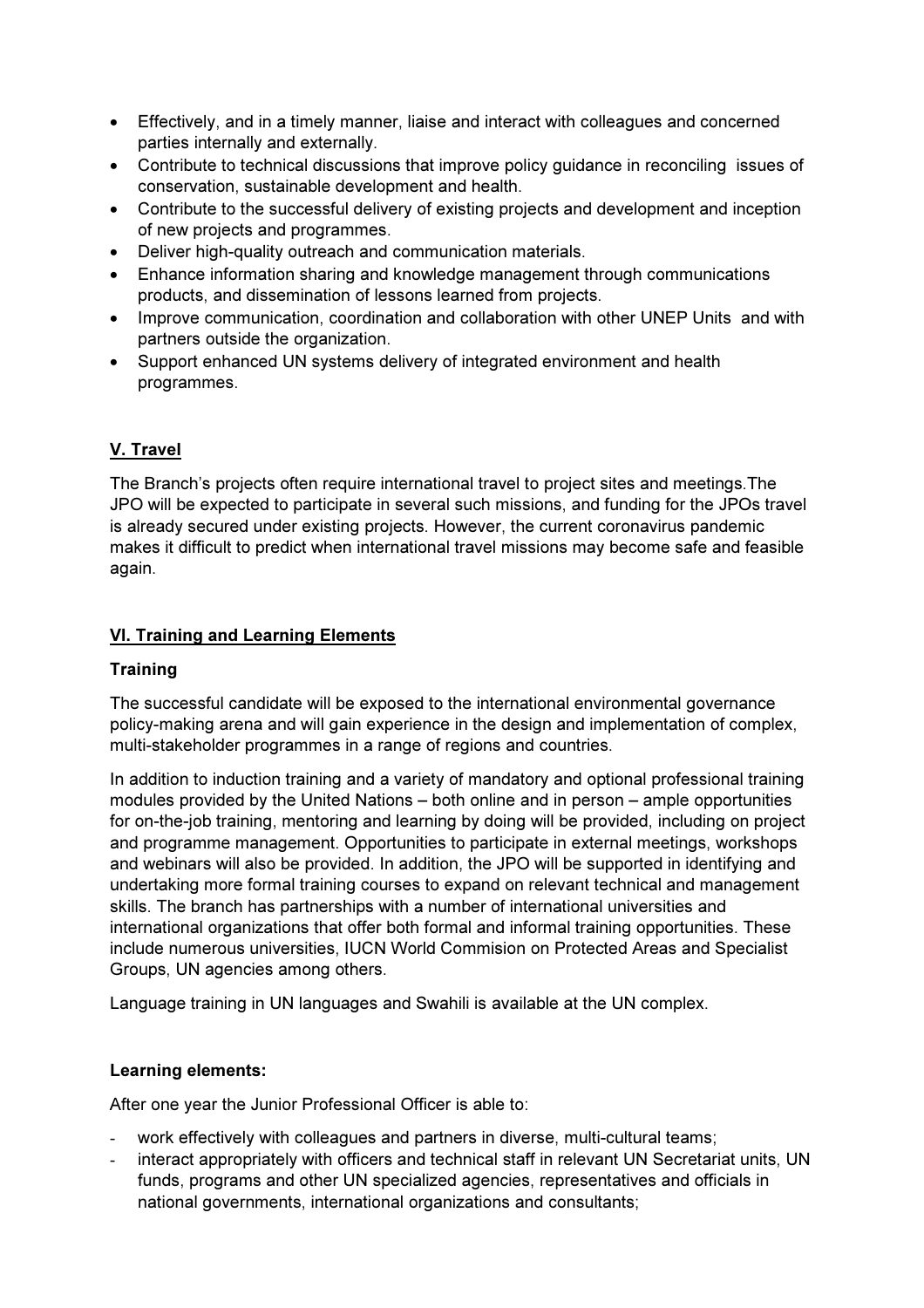- Effectively, and in a timely manner, liaise and interact with colleagues and concerned parties internally and externally.
- Contribute to technical discussions that improve policy guidance in reconciling issues of conservation, sustainable development and health.
- Contribute to the successful delivery of existing projects and development and inception of new projects and programmes.
- Deliver high-quality outreach and communication materials.
- Enhance information sharing and knowledge management through communications products, and dissemination of lessons learned from projects.
- Improve communication, coordination and collaboration with other UNEP Units and with partners outside the organization.
- Support enhanced UN systems delivery of integrated environment and health programmes.

# V. Travel

The Branch's projects often require international travel to project sites and meetings.The JPO will be expected to participate in several such missions, and funding for the JPOs travel is already secured under existing projects. However, the current coronavirus pandemic makes it difficult to predict when international travel missions may become safe and feasible again.

## VI. Training and Learning Elements

#### **Training**

The successful candidate will be exposed to the international environmental governance policy-making arena and will gain experience in the design and implementation of complex, multi-stakeholder programmes in a range of regions and countries.

In addition to induction training and a variety of mandatory and optional professional training modules provided by the United Nations – both online and in person – ample opportunities for on-the-job training, mentoring and learning by doing will be provided, including on project and programme management. Opportunities to participate in external meetings, workshops and webinars will also be provided. In addition, the JPO will be supported in identifying and undertaking more formal training courses to expand on relevant technical and management skills. The branch has partnerships with a number of international universities and international organizations that offer both formal and informal training opportunities. These include numerous universities, IUCN World Commision on Protected Areas and Specialist Groups, UN agencies among others.

Language training in UN languages and Swahili is available at the UN complex.

#### Learning elements:

After one year the Junior Professional Officer is able to:

- work effectively with colleagues and partners in diverse, multi-cultural teams;
- interact appropriately with officers and technical staff in relevant UN Secretariat units, UN funds, programs and other UN specialized agencies, representatives and officials in national governments, international organizations and consultants;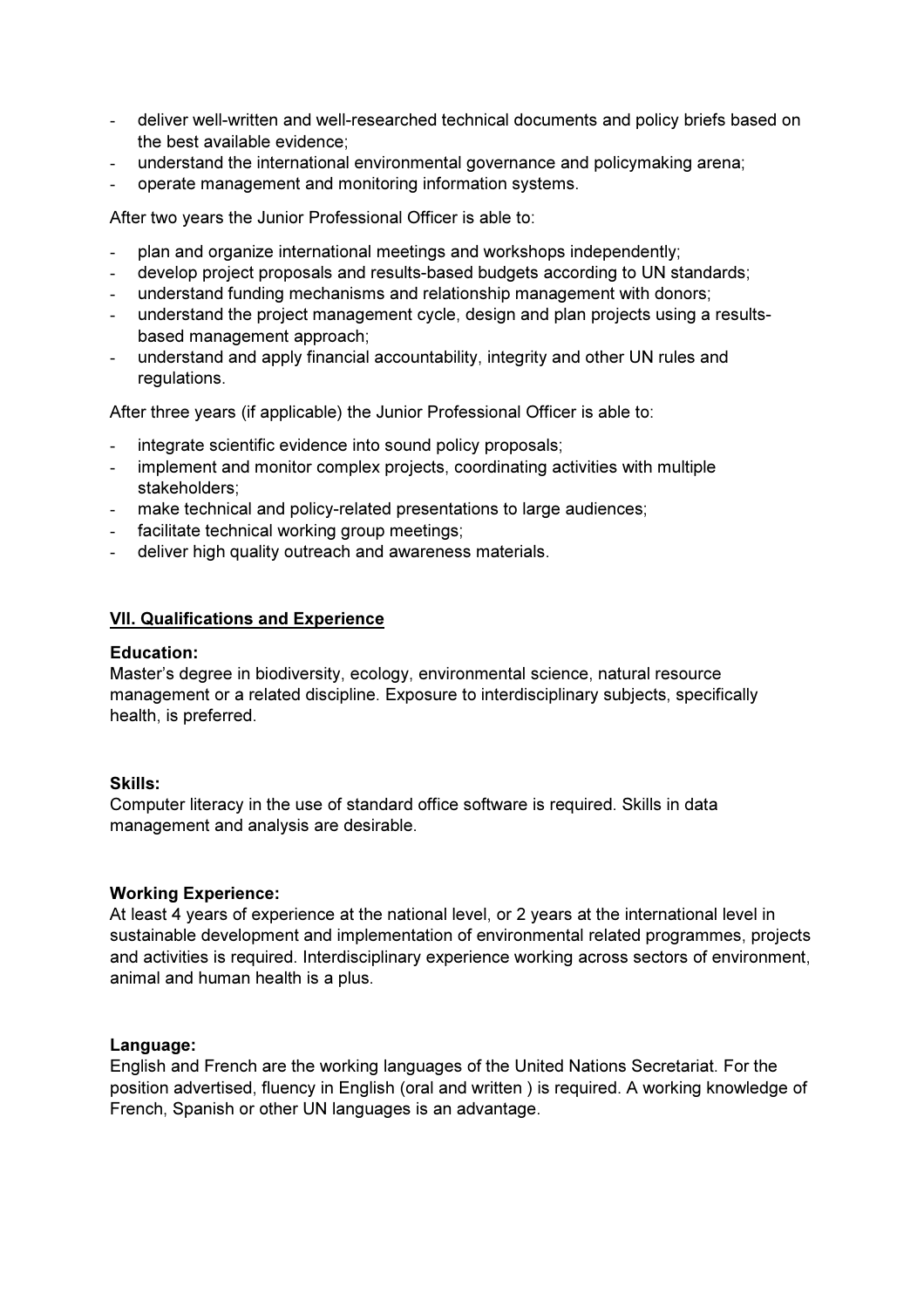- deliver well-written and well-researched technical documents and policy briefs based on the best available evidence;
- understand the international environmental governance and policymaking arena;
- operate management and monitoring information systems.

After two years the Junior Professional Officer is able to:

- plan and organize international meetings and workshops independently;
- develop project proposals and results-based budgets according to UN standards;
- understand funding mechanisms and relationship management with donors;
- understand the project management cycle, design and plan projects using a resultsbased management approach;
- understand and apply financial accountability, integrity and other UN rules and regulations.

After three years (if applicable) the Junior Professional Officer is able to:

- integrate scientific evidence into sound policy proposals;
- implement and monitor complex projects, coordinating activities with multiple stakeholders;
- make technical and policy-related presentations to large audiences:
- facilitate technical working group meetings;
- deliver high quality outreach and awareness materials.

#### VII. Qualifications and Experience

#### Education:

Master's degree in biodiversity, ecology, environmental science, natural resource management or a related discipline. Exposure to interdisciplinary subjects, specifically health, is preferred.

#### Skills:

Computer literacy in the use of standard office software is required. Skills in data management and analysis are desirable.

#### Working Experience:

At least 4 years of experience at the national level, or 2 years at the international level in sustainable development and implementation of environmental related programmes, projects and activities is required. Interdisciplinary experience working across sectors of environment, animal and human health is a plus.

#### Language:

English and French are the working languages of the United Nations Secretariat. For the position advertised, fluency in English (oral and written ) is required. A working knowledge of French, Spanish or other UN languages is an advantage.